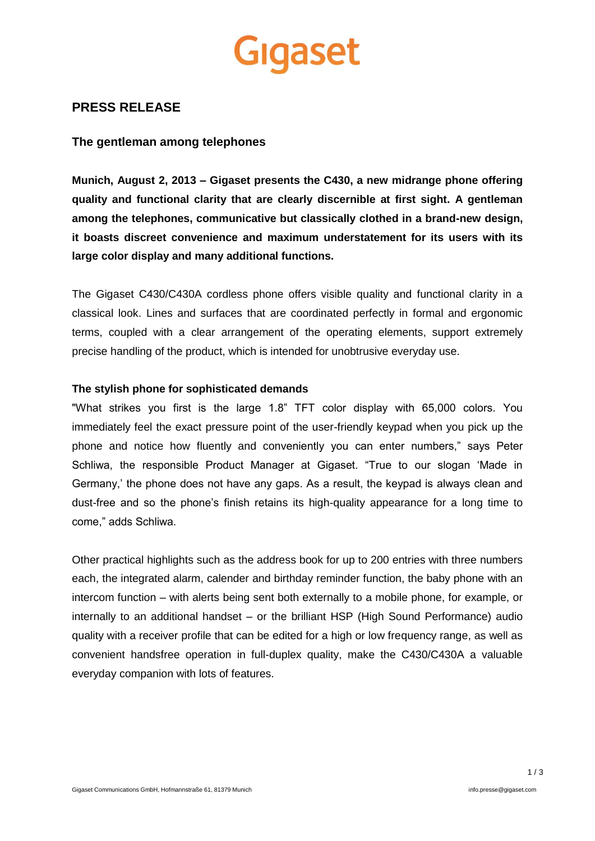

# **PRESS RELEASE**

## **The gentleman among telephones**

**Munich, August 2, 2013 – Gigaset presents the C430, a new midrange phone offering quality and functional clarity that are clearly discernible at first sight. A gentleman among the telephones, communicative but classically clothed in a brand-new design, it boasts discreet convenience and maximum understatement for its users with its large color display and many additional functions.**

The Gigaset C430/C430A cordless phone offers visible quality and functional clarity in a classical look. Lines and surfaces that are coordinated perfectly in formal and ergonomic terms, coupled with a clear arrangement of the operating elements, support extremely precise handling of the product, which is intended for unobtrusive everyday use.

#### **The stylish phone for sophisticated demands**

"What strikes you first is the large 1.8" TFT color display with 65,000 colors. You immediately feel the exact pressure point of the user-friendly keypad when you pick up the phone and notice how fluently and conveniently you can enter numbers," says Peter Schliwa, the responsible Product Manager at Gigaset. "True to our slogan 'Made in Germany,' the phone does not have any gaps. As a result, the keypad is always clean and dust-free and so the phone's finish retains its high-quality appearance for a long time to come," adds Schliwa.

Other practical highlights such as the address book for up to 200 entries with three numbers each, the integrated alarm, calender and birthday reminder function, the baby phone with an intercom function – with alerts being sent both externally to a mobile phone, for example, or internally to an additional handset – or the brilliant HSP (High Sound Performance) audio quality with a receiver profile that can be edited for a high or low frequency range, as well as convenient handsfree operation in full-duplex quality, make the C430/C430A a valuable everyday companion with lots of features.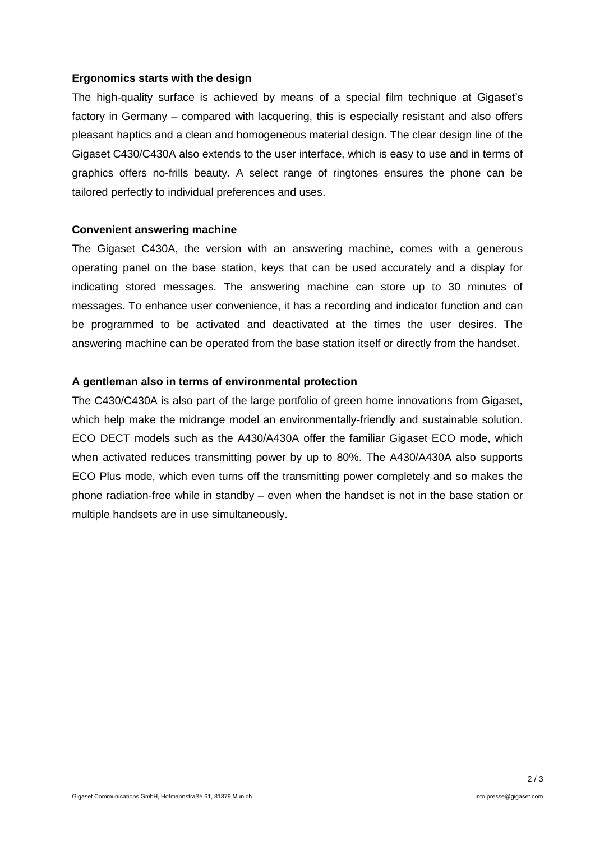### **Ergonomics starts with the design**

The high-quality surface is achieved by means of a special film technique at Gigaset's factory in Germany – compared with lacquering, this is especially resistant and also offers pleasant haptics and a clean and homogeneous material design. The clear design line of the Gigaset C430/C430A also extends to the user interface, which is easy to use and in terms of graphics offers no-frills beauty. A select range of ringtones ensures the phone can be tailored perfectly to individual preferences and uses.

### **Convenient answering machine**

The Gigaset C430A, the version with an answering machine, comes with a generous operating panel on the base station, keys that can be used accurately and a display for indicating stored messages. The answering machine can store up to 30 minutes of messages. To enhance user convenience, it has a recording and indicator function and can be programmed to be activated and deactivated at the times the user desires. The answering machine can be operated from the base station itself or directly from the handset.

### **A gentleman also in terms of environmental protection**

The C430/C430A is also part of the large portfolio of green home innovations from Gigaset, which help make the midrange model an environmentally-friendly and sustainable solution. ECO DECT models such as the A430/A430A offer the familiar Gigaset ECO mode, which when activated reduces transmitting power by up to 80%. The A430/A430A also supports ECO Plus mode, which even turns off the transmitting power completely and so makes the phone radiation-free while in standby – even when the handset is not in the base station or multiple handsets are in use simultaneously.